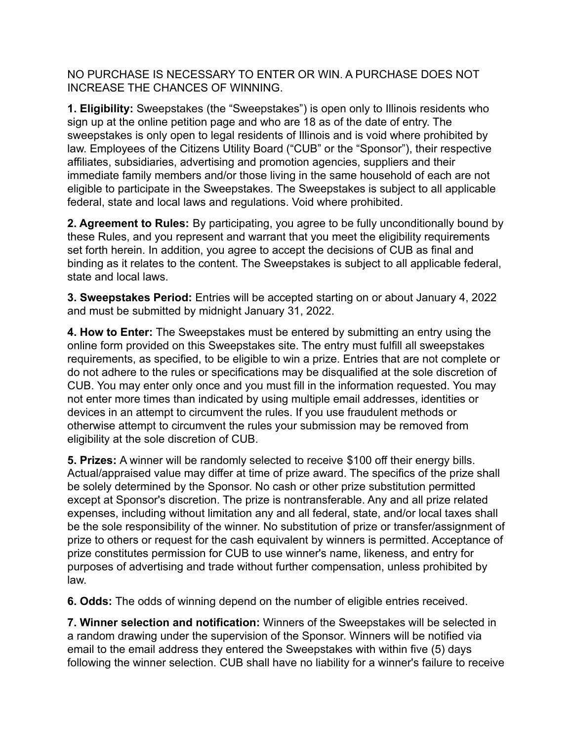NO PURCHASE IS NECESSARY TO ENTER OR WIN. A PURCHASE DOES NOT INCREASE THE CHANCES OF WINNING.

**1. Eligibility:** Sweepstakes (the "Sweepstakes") is open only to Illinois residents who sign up at the online petition page and who are 18 as of the date of entry. The sweepstakes is only open to legal residents of Illinois and is void where prohibited by law. Employees of the Citizens Utility Board ("CUB" or the "Sponsor"), their respective affiliates, subsidiaries, advertising and promotion agencies, suppliers and their immediate family members and/or those living in the same household of each are not eligible to participate in the Sweepstakes. The Sweepstakes is subject to all applicable federal, state and local laws and regulations. Void where prohibited.

**2. Agreement to Rules:** By participating, you agree to be fully unconditionally bound by these Rules, and you represent and warrant that you meet the eligibility requirements set forth herein. In addition, you agree to accept the decisions of CUB as final and binding as it relates to the content. The Sweepstakes is subject to all applicable federal, state and local laws.

**3. Sweepstakes Period:** Entries will be accepted starting on or about January 4, 2022 and must be submitted by midnight January 31, 2022.

**4. How to Enter:** The Sweepstakes must be entered by submitting an entry using the online form provided on this Sweepstakes site. The entry must fulfill all sweepstakes requirements, as specified, to be eligible to win a prize. Entries that are not complete or do not adhere to the rules or specifications may be disqualified at the sole discretion of CUB. You may enter only once and you must fill in the information requested. You may not enter more times than indicated by using multiple email addresses, identities or devices in an attempt to circumvent the rules. If you use fraudulent methods or otherwise attempt to circumvent the rules your submission may be removed from eligibility at the sole discretion of CUB.

**5. Prizes:** A winner will be randomly selected to receive \$100 off their energy bills. Actual/appraised value may differ at time of prize award. The specifics of the prize shall be solely determined by the Sponsor. No cash or other prize substitution permitted except at Sponsor's discretion. The prize is nontransferable. Any and all prize related expenses, including without limitation any and all federal, state, and/or local taxes shall be the sole responsibility of the winner. No substitution of prize or transfer/assignment of prize to others or request for the cash equivalent by winners is permitted. Acceptance of prize constitutes permission for CUB to use winner's name, likeness, and entry for purposes of advertising and trade without further compensation, unless prohibited by law.

**6. Odds:** The odds of winning depend on the number of eligible entries received.

**7. Winner selection and notification:** Winners of the Sweepstakes will be selected in a random drawing under the supervision of the Sponsor. Winners will be notified via email to the email address they entered the Sweepstakes with within five (5) days following the winner selection. CUB shall have no liability for a winner's failure to receive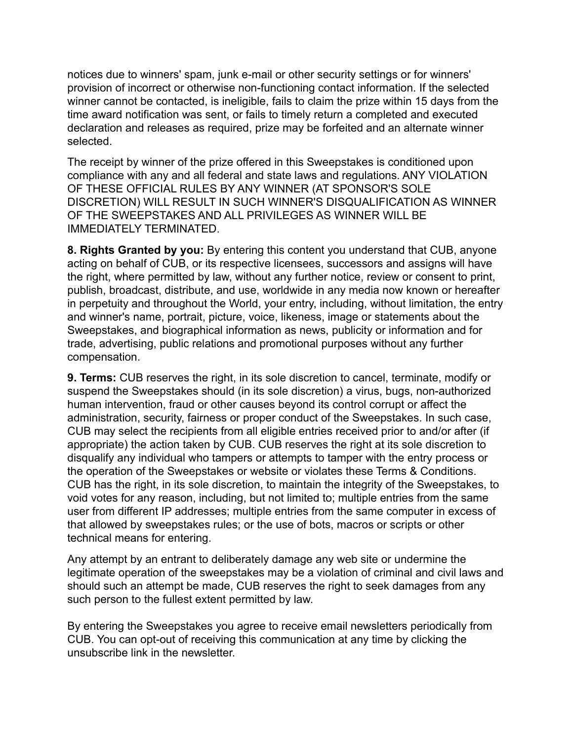notices due to winners' spam, junk e-mail or other security settings or for winners' provision of incorrect or otherwise non-functioning contact information. If the selected winner cannot be contacted, is ineligible, fails to claim the prize within 15 days from the time award notification was sent, or fails to timely return a completed and executed declaration and releases as required, prize may be forfeited and an alternate winner selected.

The receipt by winner of the prize offered in this Sweepstakes is conditioned upon compliance with any and all federal and state laws and regulations. ANY VIOLATION OF THESE OFFICIAL RULES BY ANY WINNER (AT SPONSOR'S SOLE DISCRETION) WILL RESULT IN SUCH WINNER'S DISQUALIFICATION AS WINNER OF THE SWEEPSTAKES AND ALL PRIVILEGES AS WINNER WILL BE IMMEDIATELY TERMINATED.

**8. Rights Granted by you:** By entering this content you understand that CUB, anyone acting on behalf of CUB, or its respective licensees, successors and assigns will have the right, where permitted by law, without any further notice, review or consent to print, publish, broadcast, distribute, and use, worldwide in any media now known or hereafter in perpetuity and throughout the World, your entry, including, without limitation, the entry and winner's name, portrait, picture, voice, likeness, image or statements about the Sweepstakes, and biographical information as news, publicity or information and for trade, advertising, public relations and promotional purposes without any further compensation.

**9. Terms:** CUB reserves the right, in its sole discretion to cancel, terminate, modify or suspend the Sweepstakes should (in its sole discretion) a virus, bugs, non-authorized human intervention, fraud or other causes beyond its control corrupt or affect the administration, security, fairness or proper conduct of the Sweepstakes. In such case, CUB may select the recipients from all eligible entries received prior to and/or after (if appropriate) the action taken by CUB. CUB reserves the right at its sole discretion to disqualify any individual who tampers or attempts to tamper with the entry process or the operation of the Sweepstakes or website or violates these Terms & Conditions. CUB has the right, in its sole discretion, to maintain the integrity of the Sweepstakes, to void votes for any reason, including, but not limited to; multiple entries from the same user from different IP addresses; multiple entries from the same computer in excess of that allowed by sweepstakes rules; or the use of bots, macros or scripts or other technical means for entering.

Any attempt by an entrant to deliberately damage any web site or undermine the legitimate operation of the sweepstakes may be a violation of criminal and civil laws and should such an attempt be made, CUB reserves the right to seek damages from any such person to the fullest extent permitted by law.

By entering the Sweepstakes you agree to receive email newsletters periodically from CUB. You can opt-out of receiving this communication at any time by clicking the unsubscribe link in the newsletter.